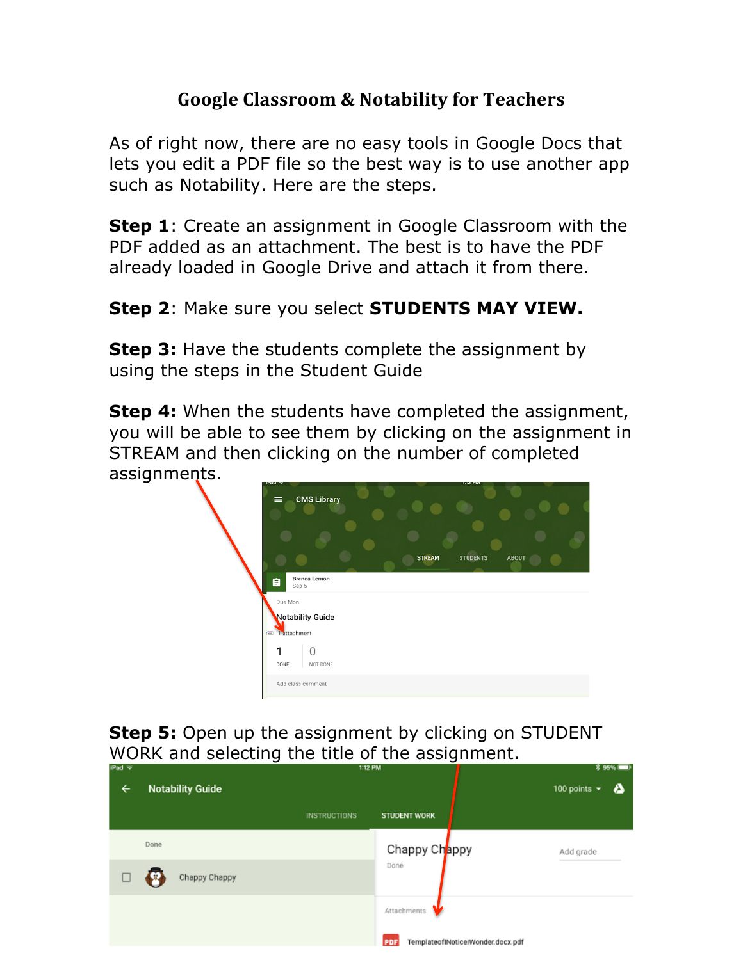## **Google Classroom & Notability for Teachers**

As of right now, there are no easy tools in Google Docs that lets you edit a PDF file so the best way is to use another app such as Notability. Here are the steps.

**Step 1**: Create an assignment in Google Classroom with the PDF added as an attachment. The best is to have the PDF already loaded in Google Drive and attach it from there.

## **Step 2**: Make sure you select **STUDENTS MAY VIEW.**

**Step 3:** Have the students complete the assignment by using the steps in the Student Guide

**Step 4:** When the students have completed the assignment, you will be able to see them by clicking on the assignment in STREAM and then clicking on the number of completed assignments.



**Step 5:** Open up the assignment by clicking on STUDENT WORK and selecting the title of the assignment.

| iPad $\overline{r}$ |                         | 1:12 PM             |                                                 | <b><i>\</i></b> 95% ■   |  |
|---------------------|-------------------------|---------------------|-------------------------------------------------|-------------------------|--|
| ←                   | <b>Notability Guide</b> |                     |                                                 | 100 points $\star$<br>▵ |  |
|                     |                         | <b>INSTRUCTIONS</b> | <b>STUDENT WORK</b>                             |                         |  |
|                     | Done                    |                     | Chappy Chappy                                   | Add grade               |  |
|                     | Chappy Chappy           |                     | Done                                            |                         |  |
|                     |                         |                     | Attachments                                     |                         |  |
|                     |                         |                     | TemplateofINoticeIWonder.docx.pdf<br><b>PDF</b> |                         |  |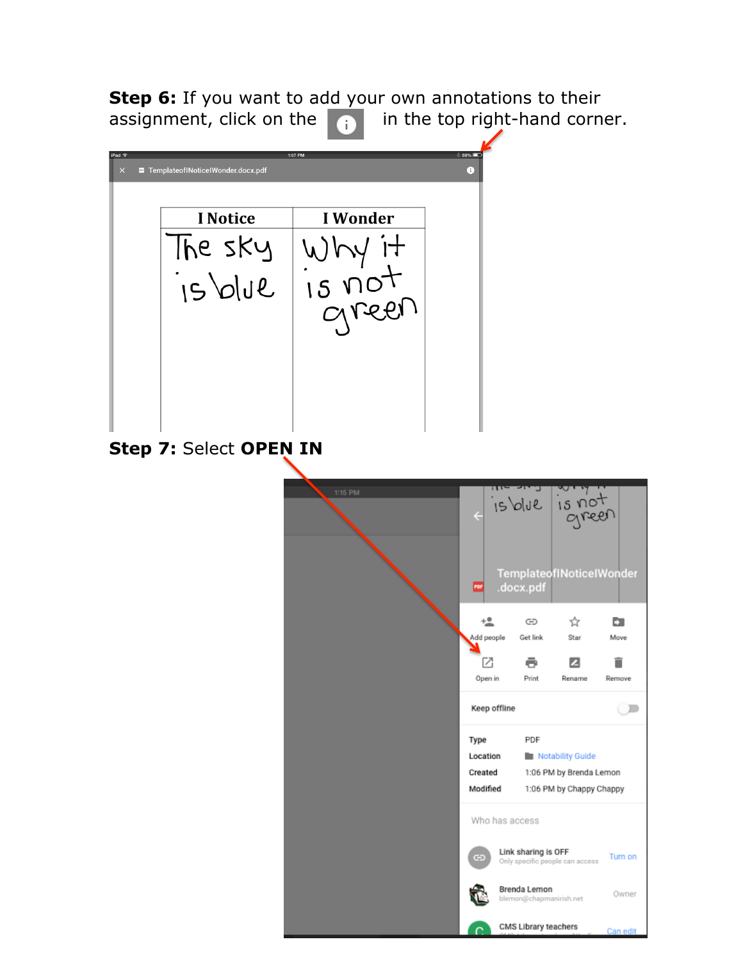**Step 6:** If you want to add your own annotations to their assignment, click on the  $\begin{array}{|c|c|c|} \hline \cdots \end{array}$  in the top right-hand corner.



☆

 $\overline{z}$ 

CMS Library teachers

E.

Move

Ĥ

Remove

 $\subset$ 

Turn on

Owner

Can edit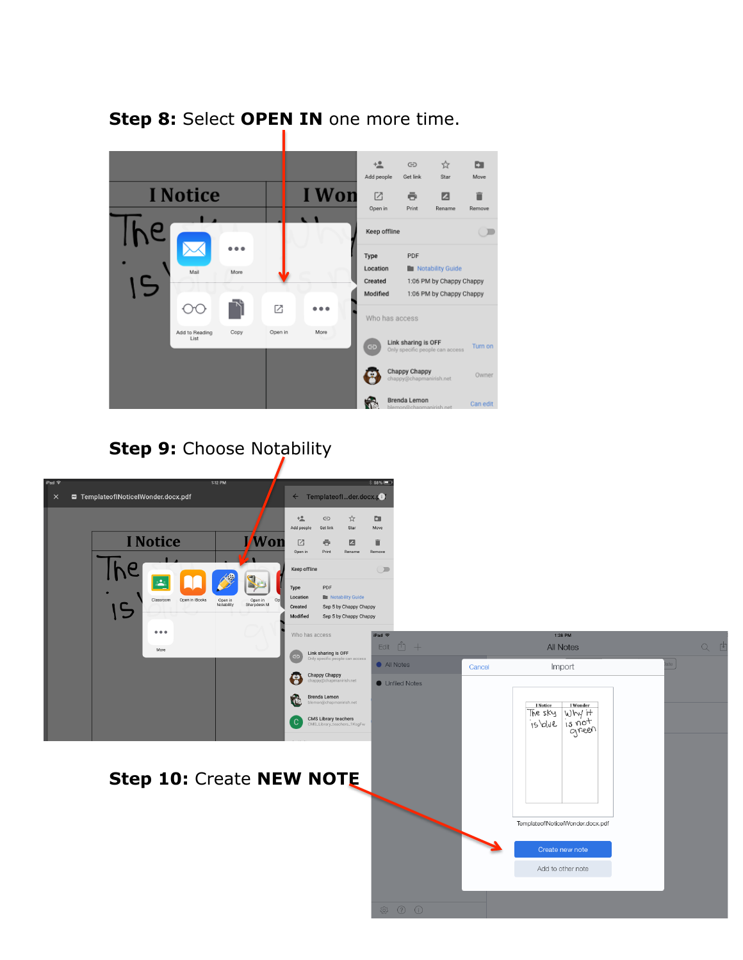

## **Step 8:** Select **OPEN IN** one more time.

## **Step 9: Choose Notability**

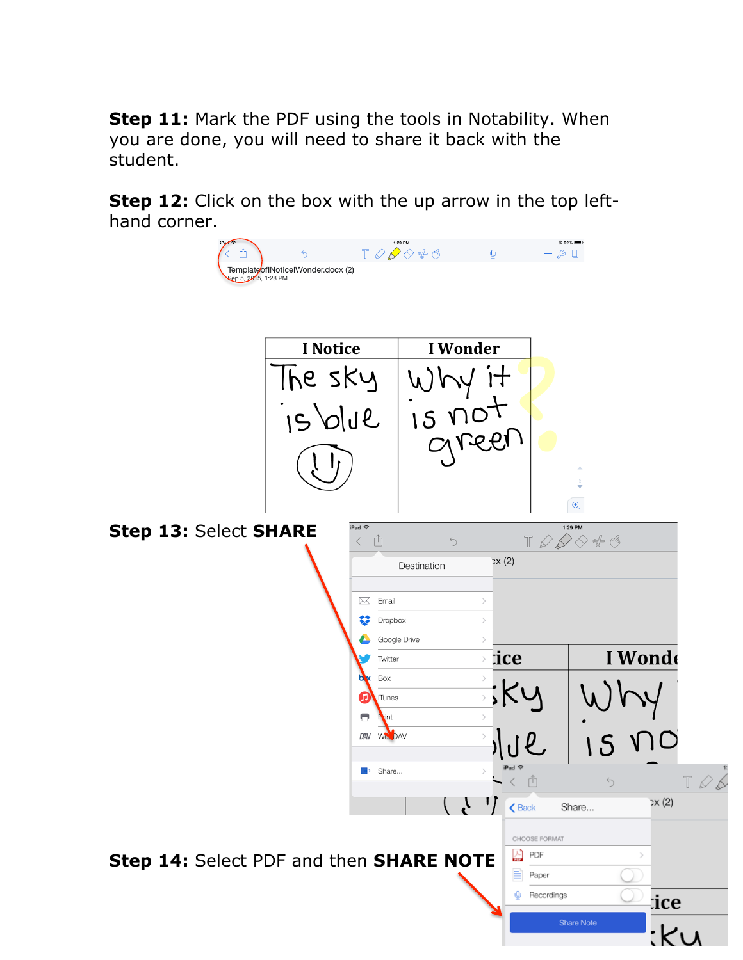**Step 11:** Mark the PDF using the tools in Notability. When you are done, you will need to share it back with the student.

**Step 12:** Click on the box with the up arrow in the top lefthand corner.